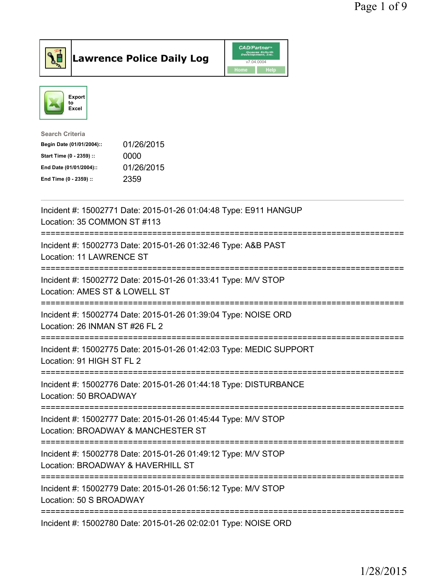



| <b>Search Criteria</b>    |            |
|---------------------------|------------|
| Begin Date (01/01/2004):: | 01/26/2015 |
| Start Time (0 - 2359) ::  | 0000       |
| End Date (01/01/2004)::   | 01/26/2015 |
| End Time (0 - 2359) ::    | 2359       |
|                           |            |

| Incident #: 15002771 Date: 2015-01-26 01:04:48 Type: E911 HANGUP<br>Location: 35 COMMON ST #113                                     |
|-------------------------------------------------------------------------------------------------------------------------------------|
| Incident #: 15002773 Date: 2015-01-26 01:32:46 Type: A&B PAST<br>Location: 11 LAWRENCE ST                                           |
| Incident #: 15002772 Date: 2015-01-26 01:33:41 Type: M/V STOP<br>Location: AMES ST & LOWELL ST                                      |
| Incident #: 15002774 Date: 2015-01-26 01:39:04 Type: NOISE ORD<br>Location: 26 INMAN ST #26 FL 2<br>=========                       |
| Incident #: 15002775 Date: 2015-01-26 01:42:03 Type: MEDIC SUPPORT<br>Location: 91 HIGH ST FL 2                                     |
| Incident #: 15002776 Date: 2015-01-26 01:44:18 Type: DISTURBANCE<br>Location: 50 BROADWAY<br>====================================== |
| Incident #: 15002777 Date: 2015-01-26 01:45:44 Type: M/V STOP<br>Location: BROADWAY & MANCHESTER ST                                 |
| Incident #: 15002778 Date: 2015-01-26 01:49:12 Type: M/V STOP<br>Location: BROADWAY & HAVERHILL ST                                  |
| Incident #: 15002779 Date: 2015-01-26 01:56:12 Type: M/V STOP<br>Location: 50 S BROADWAY                                            |
| Incident #: 15002780 Date: 2015-01-26 02:02:01 Type: NOISE ORD                                                                      |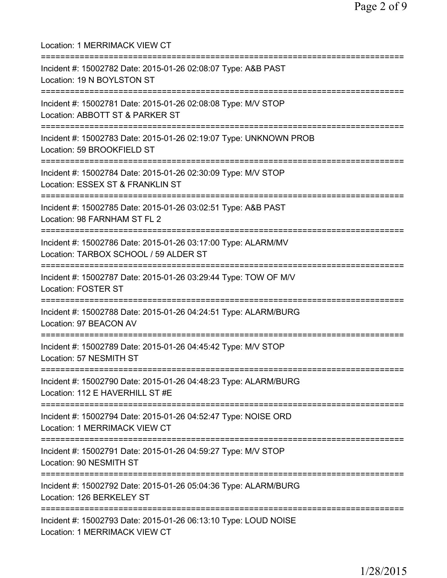| Location: 1 MERRIMACK VIEW CT                                                                                                            |
|------------------------------------------------------------------------------------------------------------------------------------------|
| Incident #: 15002782 Date: 2015-01-26 02:08:07 Type: A&B PAST<br>Location: 19 N BOYLSTON ST<br>===============================           |
| Incident #: 15002781 Date: 2015-01-26 02:08:08 Type: M/V STOP<br>Location: ABBOTT ST & PARKER ST<br>==================================== |
| Incident #: 15002783 Date: 2015-01-26 02:19:07 Type: UNKNOWN PROB<br>Location: 59 BROOKFIELD ST<br>:==========================           |
| Incident #: 15002784 Date: 2015-01-26 02:30:09 Type: M/V STOP<br>Location: ESSEX ST & FRANKLIN ST                                        |
| Incident #: 15002785 Date: 2015-01-26 03:02:51 Type: A&B PAST<br>Location: 98 FARNHAM ST FL 2                                            |
| Incident #: 15002786 Date: 2015-01-26 03:17:00 Type: ALARM/MV<br>Location: TARBOX SCHOOL / 59 ALDER ST                                   |
| Incident #: 15002787 Date: 2015-01-26 03:29:44 Type: TOW OF M/V<br><b>Location: FOSTER ST</b><br>=========================               |
| Incident #: 15002788 Date: 2015-01-26 04:24:51 Type: ALARM/BURG<br>Location: 97 BEACON AV                                                |
| Incident #: 15002789 Date: 2015-01-26 04:45:42 Type: M/V STOP<br>Location: 57 NESMITH ST                                                 |
| Incident #: 15002790 Date: 2015-01-26 04:48:23 Type: ALARM/BURG<br>Location: 112 E HAVERHILL ST #E                                       |
| Incident #: 15002794 Date: 2015-01-26 04:52:47 Type: NOISE ORD<br>Location: 1 MERRIMACK VIEW CT                                          |
| Incident #: 15002791 Date: 2015-01-26 04:59:27 Type: M/V STOP<br>Location: 90 NESMITH ST                                                 |
| ================================<br>Incident #: 15002792 Date: 2015-01-26 05:04:36 Type: ALARM/BURG<br>Location: 126 BERKELEY ST         |
| Incident #: 15002793 Date: 2015-01-26 06:13:10 Type: LOUD NOISE<br>Location: 1 MERRIMACK VIEW CT                                         |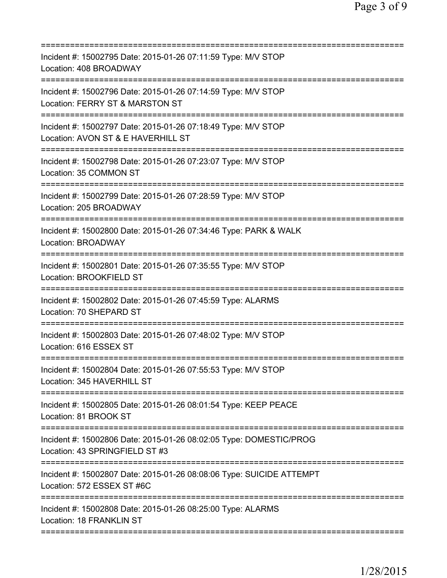| Incident #: 15002795 Date: 2015-01-26 07:11:59 Type: M/V STOP<br>Location: 408 BROADWAY              |
|------------------------------------------------------------------------------------------------------|
| Incident #: 15002796 Date: 2015-01-26 07:14:59 Type: M/V STOP<br>Location: FERRY ST & MARSTON ST     |
| Incident #: 15002797 Date: 2015-01-26 07:18:49 Type: M/V STOP<br>Location: AVON ST & E HAVERHILL ST  |
| Incident #: 15002798 Date: 2015-01-26 07:23:07 Type: M/V STOP<br>Location: 35 COMMON ST              |
| Incident #: 15002799 Date: 2015-01-26 07:28:59 Type: M/V STOP<br>Location: 205 BROADWAY              |
| Incident #: 15002800 Date: 2015-01-26 07:34:46 Type: PARK & WALK<br>Location: BROADWAY               |
| Incident #: 15002801 Date: 2015-01-26 07:35:55 Type: M/V STOP<br>Location: BROOKFIELD ST             |
| Incident #: 15002802 Date: 2015-01-26 07:45:59 Type: ALARMS<br>Location: 70 SHEPARD ST               |
| Incident #: 15002803 Date: 2015-01-26 07:48:02 Type: M/V STOP<br>Location: 616 ESSEX ST              |
| Incident #: 15002804 Date: 2015-01-26 07:55:53 Type: M/V STOP<br>Location: 345 HAVERHILL ST          |
| Incident #: 15002805 Date: 2015-01-26 08:01:54 Type: KEEP PEACE<br>Location: 81 BROOK ST             |
| Incident #: 15002806 Date: 2015-01-26 08:02:05 Type: DOMESTIC/PROG<br>Location: 43 SPRINGFIELD ST #3 |
| Incident #: 15002807 Date: 2015-01-26 08:08:06 Type: SUICIDE ATTEMPT<br>Location: 572 ESSEX ST #6C   |
| Incident #: 15002808 Date: 2015-01-26 08:25:00 Type: ALARMS<br>Location: 18 FRANKLIN ST              |
|                                                                                                      |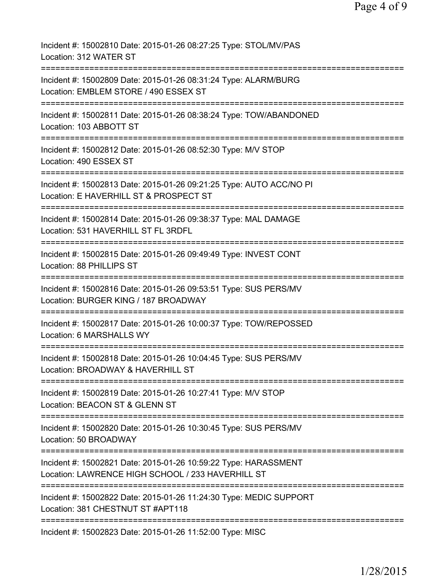| Incident #: 15002810 Date: 2015-01-26 08:27:25 Type: STOL/MV/PAS<br>Location: 312 WATER ST                                                             |
|--------------------------------------------------------------------------------------------------------------------------------------------------------|
| Incident #: 15002809 Date: 2015-01-26 08:31:24 Type: ALARM/BURG<br>Location: EMBLEM STORE / 490 ESSEX ST                                               |
| Incident #: 15002811 Date: 2015-01-26 08:38:24 Type: TOW/ABANDONED<br>Location: 103 ABBOTT ST                                                          |
| Incident #: 15002812 Date: 2015-01-26 08:52:30 Type: M/V STOP<br>Location: 490 ESSEX ST                                                                |
| Incident #: 15002813 Date: 2015-01-26 09:21:25 Type: AUTO ACC/NO PI<br>Location: E HAVERHILL ST & PROSPECT ST                                          |
| Incident #: 15002814 Date: 2015-01-26 09:38:37 Type: MAL DAMAGE<br>Location: 531 HAVERHILL ST FL 3RDFL                                                 |
| Incident #: 15002815 Date: 2015-01-26 09:49:49 Type: INVEST CONT<br>Location: 88 PHILLIPS ST                                                           |
| Incident #: 15002816 Date: 2015-01-26 09:53:51 Type: SUS PERS/MV<br>Location: BURGER KING / 187 BROADWAY                                               |
| Incident #: 15002817 Date: 2015-01-26 10:00:37 Type: TOW/REPOSSED<br>Location: 6 MARSHALLS WY                                                          |
| Incident #: 15002818 Date: 2015-01-26 10:04:45 Type: SUS PERS/MV<br>Location: BROADWAY & HAVERHILL ST                                                  |
| ===============================<br>Incident #: 15002819 Date: 2015-01-26 10:27:41 Type: M/V STOP<br>Location: BEACON ST & GLENN ST                     |
| Incident #: 15002820 Date: 2015-01-26 10:30:45 Type: SUS PERS/MV<br>Location: 50 BROADWAY                                                              |
| ==============================<br>Incident #: 15002821 Date: 2015-01-26 10:59:22 Type: HARASSMENT<br>Location: LAWRENCE HIGH SCHOOL / 233 HAVERHILL ST |
| Incident #: 15002822 Date: 2015-01-26 11:24:30 Type: MEDIC SUPPORT<br>Location: 381 CHESTNUT ST #APT118                                                |
| Incident #: 15002823 Date: 2015-01-26 11:52:00 Type: MISC                                                                                              |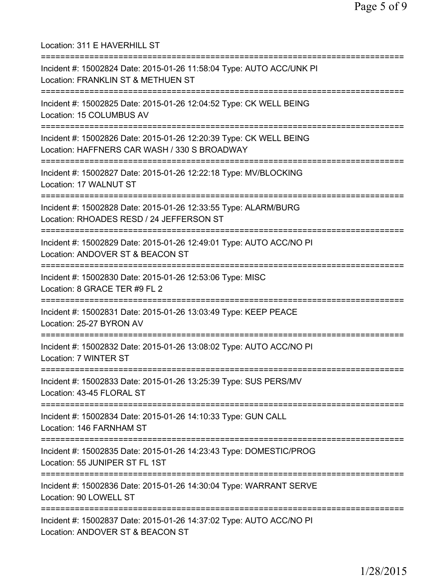Location: 311 E HAVERHILL ST =========================================================================== Incident #: 15002824 Date: 2015-01-26 11:58:04 Type: AUTO ACC/UNK PI Location: FRANKLIN ST & METHUEN ST =========================================================================== Incident #: 15002825 Date: 2015-01-26 12:04:52 Type: CK WELL BEING Location: 15 COLUMBUS AV =========================================================================== Incident #: 15002826 Date: 2015-01-26 12:20:39 Type: CK WELL BEING Location: HAFFNERS CAR WASH / 330 S BROADWAY =========================================================================== Incident #: 15002827 Date: 2015-01-26 12:22:18 Type: MV/BLOCKING Location: 17 WALNUT ST =========================================================================== Incident #: 15002828 Date: 2015-01-26 12:33:55 Type: ALARM/BURG Location: RHOADES RESD / 24 JEFFERSON ST =========================================================================== Incident #: 15002829 Date: 2015-01-26 12:49:01 Type: AUTO ACC/NO PI Location: ANDOVER ST & BEACON ST =========================================================================== Incident #: 15002830 Date: 2015-01-26 12:53:06 Type: MISC Location: 8 GRACE TER #9 FL 2 =========================================================================== Incident #: 15002831 Date: 2015-01-26 13:03:49 Type: KEEP PEACE Location: 25-27 BYRON AV =========================================================================== Incident #: 15002832 Date: 2015-01-26 13:08:02 Type: AUTO ACC/NO PI Location: 7 WINTER ST =========================================================================== Incident #: 15002833 Date: 2015-01-26 13:25:39 Type: SUS PERS/MV Location: 43-45 FLORAL ST =========================================================================== Incident #: 15002834 Date: 2015-01-26 14:10:33 Type: GUN CALL Location: 146 FARNHAM ST =========================================================================== Incident #: 15002835 Date: 2015-01-26 14:23:43 Type: DOMESTIC/PROG Location: 55 JUNIPER ST FL 1ST =========================================================================== Incident #: 15002836 Date: 2015-01-26 14:30:04 Type: WARRANT SERVE Location: 90 LOWELL ST =========================================================================== Incident #: 15002837 Date: 2015-01-26 14:37:02 Type: AUTO ACC/NO PI Location: ANDOVER ST & BEACON ST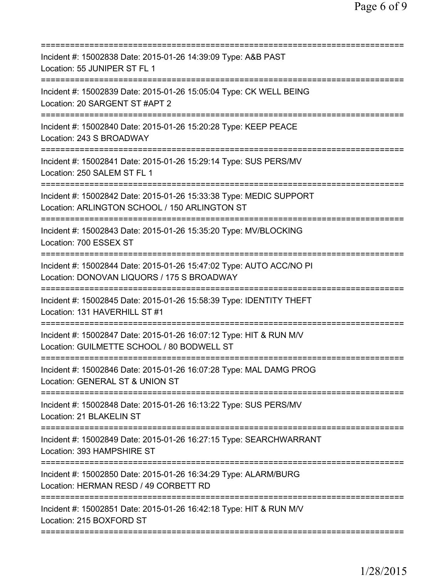| Incident #: 15002838 Date: 2015-01-26 14:39:09 Type: A&B PAST<br>Location: 55 JUNIPER ST FL 1                                                         |
|-------------------------------------------------------------------------------------------------------------------------------------------------------|
| Incident #: 15002839 Date: 2015-01-26 15:05:04 Type: CK WELL BEING<br>Location: 20 SARGENT ST #APT 2                                                  |
| Incident #: 15002840 Date: 2015-01-26 15:20:28 Type: KEEP PEACE<br>Location: 243 S BROADWAY                                                           |
| Incident #: 15002841 Date: 2015-01-26 15:29:14 Type: SUS PERS/MV<br>Location: 250 SALEM ST FL 1                                                       |
| Incident #: 15002842 Date: 2015-01-26 15:33:38 Type: MEDIC SUPPORT<br>Location: ARLINGTON SCHOOL / 150 ARLINGTON ST                                   |
| Incident #: 15002843 Date: 2015-01-26 15:35:20 Type: MV/BLOCKING<br>Location: 700 ESSEX ST                                                            |
| Incident #: 15002844 Date: 2015-01-26 15:47:02 Type: AUTO ACC/NO PI<br>Location: DONOVAN LIQUORS / 175 S BROADWAY<br>================================ |
| Incident #: 15002845 Date: 2015-01-26 15:58:39 Type: IDENTITY THEFT<br>Location: 131 HAVERHILL ST #1                                                  |
| Incident #: 15002847 Date: 2015-01-26 16:07:12 Type: HIT & RUN M/V<br>Location: GUILMETTE SCHOOL / 80 BODWELL ST                                      |
| Incident #: 15002846 Date: 2015-01-26 16:07:28 Type: MAL DAMG PROG<br>Location: GENERAL ST & UNION ST<br>============================                 |
| Incident #: 15002848 Date: 2015-01-26 16:13:22 Type: SUS PERS/MV<br>Location: 21 BLAKELIN ST                                                          |
| Incident #: 15002849 Date: 2015-01-26 16:27:15 Type: SEARCHWARRANT<br>Location: 393 HAMPSHIRE ST                                                      |
| Incident #: 15002850 Date: 2015-01-26 16:34:29 Type: ALARM/BURG<br>Location: HERMAN RESD / 49 CORBETT RD                                              |
| Incident #: 15002851 Date: 2015-01-26 16:42:18 Type: HIT & RUN M/V<br>Location: 215 BOXFORD ST                                                        |
|                                                                                                                                                       |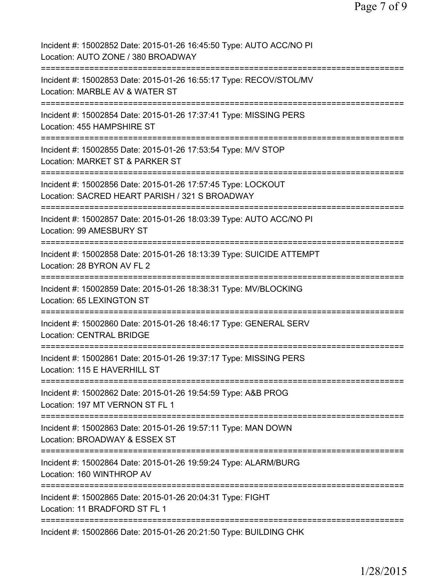| Incident #: 15002852 Date: 2015-01-26 16:45:50 Type: AUTO ACC/NO PI<br>Location: AUTO ZONE / 380 BROADWAY                                 |
|-------------------------------------------------------------------------------------------------------------------------------------------|
| Incident #: 15002853 Date: 2015-01-26 16:55:17 Type: RECOV/STOL/MV<br>Location: MARBLE AV & WATER ST                                      |
| Incident #: 15002854 Date: 2015-01-26 17:37:41 Type: MISSING PERS<br>Location: 455 HAMPSHIRE ST                                           |
| Incident #: 15002855 Date: 2015-01-26 17:53:54 Type: M/V STOP<br>Location: MARKET ST & PARKER ST<br>=======                               |
| Incident #: 15002856 Date: 2015-01-26 17:57:45 Type: LOCKOUT<br>Location: SACRED HEART PARISH / 321 S BROADWAY                            |
| Incident #: 15002857 Date: 2015-01-26 18:03:39 Type: AUTO ACC/NO PI<br>Location: 99 AMESBURY ST<br>====================================== |
| Incident #: 15002858 Date: 2015-01-26 18:13:39 Type: SUICIDE ATTEMPT<br>Location: 28 BYRON AV FL 2                                        |
| Incident #: 15002859 Date: 2015-01-26 18:38:31 Type: MV/BLOCKING<br>Location: 65 LEXINGTON ST<br>====================================     |
| Incident #: 15002860 Date: 2015-01-26 18:46:17 Type: GENERAL SERV<br><b>Location: CENTRAL BRIDGE</b>                                      |
| Incident #: 15002861 Date: 2015-01-26 19:37:17 Type: MISSING PERS<br>Location: 115 E HAVERHILL ST                                         |
| Incident #: 15002862 Date: 2015-01-26 19:54:59 Type: A&B PROG<br>Location: 197 MT VERNON ST FL 1                                          |
| :============<br>Incident #: 15002863 Date: 2015-01-26 19:57:11 Type: MAN DOWN<br>Location: BROADWAY & ESSEX ST                           |
| Incident #: 15002864 Date: 2015-01-26 19:59:24 Type: ALARM/BURG<br>Location: 160 WINTHROP AV                                              |
| Incident #: 15002865 Date: 2015-01-26 20:04:31 Type: FIGHT<br>Location: 11 BRADFORD ST FL 1                                               |
| Incident #: 15002866 Date: 2015-01-26 20:21:50 Type: BUILDING CHK                                                                         |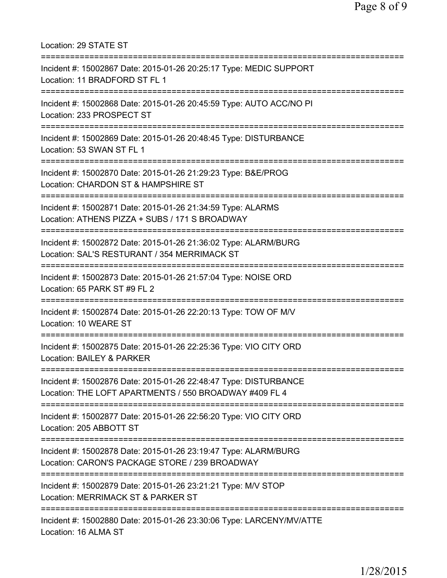Location: 29 STATE ST =========================================================================== Incident #: 15002867 Date: 2015-01-26 20:25:17 Type: MEDIC SUPPORT Location: 11 BRADFORD ST FL 1 =========================================================================== Incident #: 15002868 Date: 2015-01-26 20:45:59 Type: AUTO ACC/NO PI Location: 233 PROSPECT ST =========================================================================== Incident #: 15002869 Date: 2015-01-26 20:48:45 Type: DISTURBANCE Location: 53 SWAN ST FL 1 =========================================================================== Incident #: 15002870 Date: 2015-01-26 21:29:23 Type: B&E/PROG Location: CHARDON ST & HAMPSHIRE ST =========================================================================== Incident #: 15002871 Date: 2015-01-26 21:34:59 Type: ALARMS Location: ATHENS PIZZA + SUBS / 171 S BROADWAY =========================================================================== Incident #: 15002872 Date: 2015-01-26 21:36:02 Type: ALARM/BURG Location: SAL'S RESTURANT / 354 MERRIMACK ST =========================================================================== Incident #: 15002873 Date: 2015-01-26 21:57:04 Type: NOISE ORD Location: 65 PARK ST #9 FL 2 =========================================================================== Incident #: 15002874 Date: 2015-01-26 22:20:13 Type: TOW OF M/V Location: 10 WEARE ST =========================================================================== Incident #: 15002875 Date: 2015-01-26 22:25:36 Type: VIO CITY ORD Location: BAILEY & PARKER =========================================================================== Incident #: 15002876 Date: 2015-01-26 22:48:47 Type: DISTURBANCE Location: THE LOFT APARTMENTS / 550 BROADWAY #409 FL 4 =========================================================================== Incident #: 15002877 Date: 2015-01-26 22:56:20 Type: VIO CITY ORD Location: 205 ABBOTT ST =========================================================================== Incident #: 15002878 Date: 2015-01-26 23:19:47 Type: ALARM/BURG Location: CARON'S PACKAGE STORE / 239 BROADWAY =========================================================================== Incident #: 15002879 Date: 2015-01-26 23:21:21 Type: M/V STOP Location: MERRIMACK ST & PARKER ST =========================================================================== Incident #: 15002880 Date: 2015-01-26 23:30:06 Type: LARCENY/MV/ATTE Location: 16 ALMA ST